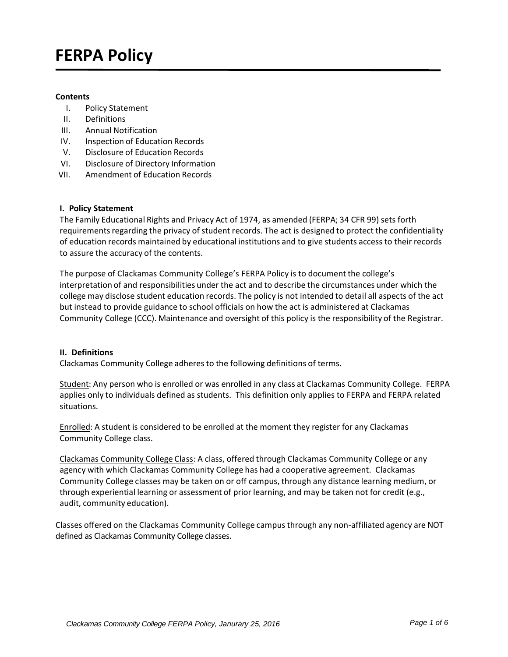# **FERPA Policy**

## **Contents**

- I. Policy Statement
- II. Definitions
- III. Annual Notification
- IV. Inspection of Education Records
- V. Disclosure of Education Records
- VI. Disclosure of Directory Information
- VII. Amendment of Education Records

## **I. Policy Statement**

The Family Educational Rights and Privacy Act of 1974, as amended (FERPA; 34 CFR 99) sets forth requirements regarding the privacy of student records. The act is designed to protect the confidentiality of education records maintained by educational institutions and to give students access to their records to assure the accuracy of the contents.

The purpose of Clackamas Community College's FERPA Policy is to document the college's interpretation of and responsibilities under the act and to describe the circumstances under which the college may disclose student education records. The policy is not intended to detail all aspects of the act but instead to provide guidance to school officials on how the act is administered at Clackamas Community College (CCC). Maintenance and oversight of this policy is the responsibility of the Registrar.

#### **II. Definitions**

Clackamas Community College adheres to the following definitions of terms.

Student: Any person who is enrolled or was enrolled in any class at Clackamas Community College. FERPA applies only to individuals defined as students. This definition only applies to FERPA and FERPA related situations.

Enrolled: A student is considered to be enrolled at the moment they register for any Clackamas Community College class.

Clackamas Community College Class: A class, offered through Clackamas Community College or any agency with which Clackamas Community College has had a cooperative agreement. Clackamas Community College classes may be taken on or off campus, through any distance learning medium, or through experiential learning or assessment of prior learning, and may be taken not for credit (e.g., audit, community education).

Classes offered on the Clackamas Community College campus through any non‐affiliated agency are NOT defined as Clackamas Community College classes.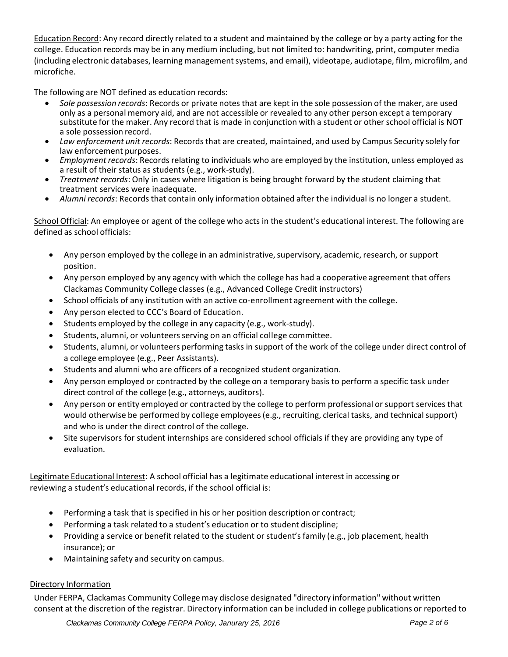Education Record: Any record directly related to a student and maintained by the college or by a party acting for the college. Education records may be in any medium including, but not limited to: handwriting, print, computer media (including electronic databases, learning management systems, and email), videotape, audiotape, film, microfilm, and microfiche.

The following are NOT defined as education records:

- *Sole possession records*: Records or private notes that are kept in the sole possession of the maker, are used only as a personal memory aid, and are not accessible or revealed to any other person except a temporary substitute for the maker. Any record that is made in conjunction with a student or other school official is NOT a sole possession record.
- *Law enforcement unit records*: Records that are created, maintained, and used by Campus Security solely for law enforcement purposes.
- *Employment records*: Records relating to individuals who are employed by the institution, unless employed as a result of their status as students (e.g., work‐study).
- *Treatment records*: Only in cases where litigation is being brought forward by the student claiming that treatment services were inadequate.
- *Alumni records*: Records that contain only information obtained after the individual is no longer a student.

School Official: An employee or agent of the college who acts in the student's educational interest. The following are defined as school officials:

- Any person employed by the college in an administrative, supervisory, academic, research, or support position.
- Any person employed by any agency with which the college has had a cooperative agreement that offers Clackamas Community College classes (e.g., Advanced College Credit instructors)
- School officials of any institution with an active co-enrollment agreement with the college.
- Any person elected to CCC's Board of Education.
- Students employed by the college in any capacity (e.g., work‐study).
- Students, alumni, or volunteers serving on an official college committee.
- Students, alumni, or volunteers performing tasks in support of the work of the college under direct control of a college employee (e.g., Peer Assistants).
- Students and alumni who are officers of a recognized student organization.
- Any person employed or contracted by the college on a temporary basis to perform a specific task under direct control of the college (e.g., attorneys, auditors).
- Any person or entity employed or contracted by the college to perform professional or support services that would otherwise be performed by college employees (e.g., recruiting, clerical tasks, and technical support) and who is under the direct control of the college.
- Site supervisors for student internships are considered school officials if they are providing any type of evaluation.

Legitimate Educational Interest: A school official has a legitimate educational interest in accessing or reviewing a student's educational records, if the school official is:

- Performing a task that is specified in his or her position description or contract;
- Performing a task related to a student's education or to student discipline;
- **•** Providing a service or benefit related to the student or student's family (e.g., job placement, health insurance); or
- Maintaining safety and security on campus.

# Directory Information

Under FERPA, Clackamas Community College may disclose designated "directory information" without written consent at the discretion of the registrar. Directory information can be included in college publications or reported to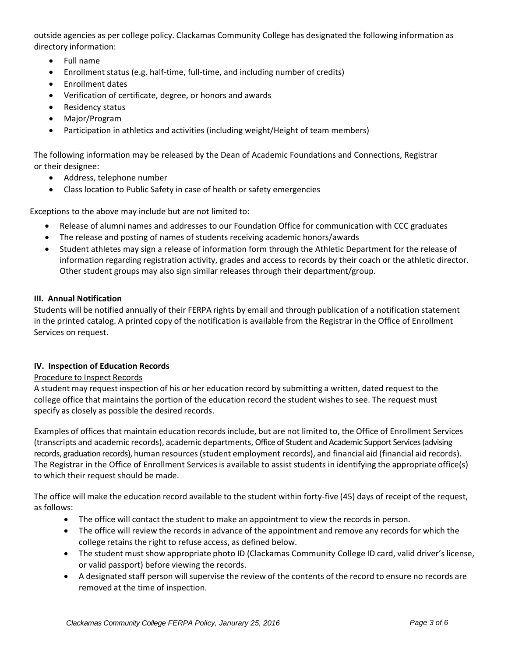outside agencies as per college policy. Clackamas Community College has designated the following information as directory information:

- Full name
- Enrollment status (e.g. half-time, full-time, and including number of credits)
- Enrollment dates
- Verification of certificate, degree, or honors and awards
- Residency status
- Major/Program
- Participation in athletics and activities (including weight/Height of team members)

The following information may be released by the Dean of Academic Foundations and Connections, Registrar or their designee:

- Address, telephone number
- Class location to Public Safety in case of health or safety emergencies

Exceptions to the above may include but are not limited to:

- Release of alumni names and addresses to our Foundation Office for communication with CCC graduates
- The release and posting of names of students receiving academic honors/awards
- Student athletes may sign a release of information form through the Athletic Department for the release of information regarding registration activity, grades and access to records by their coach or the athletic director. Other student groups may also sign similar releases through their department/group.

# **III. Annual Notification**

Students will be notified annually of their FERPA rights by email and through publication of a notification statement in the printed catalog. A printed copy of the notification is available from the Registrar in the Office of Enrollment Services on request.

# **IV. Inspection of Education Records**

# Procedure to Inspect Records

A student may request inspection of his or her education record by submitting a written, dated request to the college office that maintains the portion of the education record the student wishes to see. The request must specify as closely as possible the desired records.

Examples of offices that maintain education records include, but are not limited to, the Office of Enrollment Services (transcripts and academic records), academic departments, Office of Student and Academic Support Services (advising records, graduation records), human resources (student employment records), and financial aid (financial aid records). The Registrar in the Office of Enrollment Services is available to assist students in identifying the appropriate office(s) to which their request should be made.

The office will make the education record available to the student within forty‐five (45) days of receipt of the request, as follows:

- The office will contact the student to make an appointment to view the records in person.
- The office will review the records in advance of the appointment and remove any records for which the college retains the right to refuse access, as defined below.
- The student must show appropriate photo ID (Clackamas Community College ID card, valid driver's license, or valid passport) before viewing the records.
- A designated staff person will supervise the review of the contents of the record to ensure no records are removed at the time of inspection.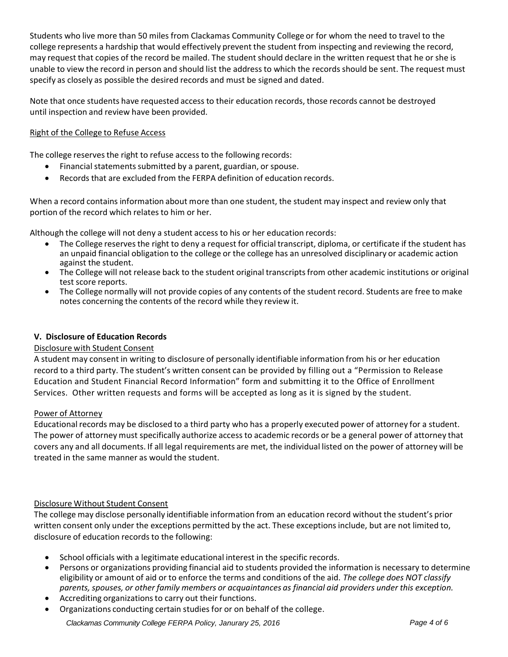Students who live more than 50 miles from Clackamas Community College or for whom the need to travel to the college represents a hardship that would effectively prevent the student from inspecting and reviewing the record, may request that copies of the record be mailed. The student should declare in the written request that he or she is unable to view the record in person and should list the address to which the records should be sent. The request must specify as closely as possible the desired records and must be signed and dated.

Note that once students have requested access to their education records, those records cannot be destroyed until inspection and review have been provided.

# Right of the College to Refuse Access

The college reserves the right to refuse access to the following records:

- Financial statements submitted by a parent, guardian, or spouse.
- Records that are excluded from the FERPA definition of education records.

When a record contains information about more than one student, the student may inspect and review only that portion of the record which relates to him or her.

Although the college will not deny a student access to his or her education records:

- The College reserves the right to deny a request for official transcript, diploma, or certificate if the student has an unpaid financial obligation to the college or the college has an unresolved disciplinary or academic action against the student.
- The College will not release back to the student original transcripts from other academic institutions or original test score reports.
- The College normally will not provide copies of any contents of the student record. Students are free to make notes concerning the contents of the record while they review it.

# **V. Disclosure of Education Records**

# Disclosure with Student Consent

A student may consent in writing to disclosure of personally identifiable information from his or her education record to a third party. The student's written consent can be provided by filling out a "Permission to Release Education and Student Financial Record Information" form and submitting it to the Office of Enrollment Services. Other written requests and forms will be accepted as long as it is signed by the student.

# Power of Attorney

Educational records may be disclosed to a third party who has a properly executed power of attorney for a student. The power of attorney must specifically authorize access to academic records or be a general power of attorney that covers any and all documents. If all legal requirements are met, the individual listed on the power of attorney will be treated in the same manner as would the student.

# Disclosure Without Student Consent

The college may disclose personally identifiable information from an education record without the student's prior written consent only under the exceptions permitted by the act. These exceptions include, but are not limited to, disclosure of education records to the following:

- School officials with a legitimate educational interest in the specific records.
- Persons or organizations providing financial aid to students provided the information is necessary to determine eligibility or amount of aid or to enforce the terms and conditions of the aid. *The college does NOT classify parents, spouses, or other family members or acquaintances as financial aid providers under this exception.*
- Accrediting organizations to carry out their functions.
- Organizations conducting certain studies for or on behalf of the college.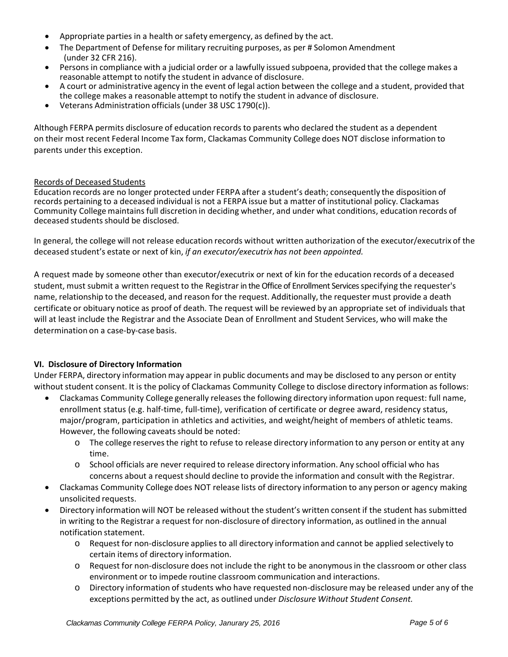- Appropriate parties in a health or safety emergency, as defined by the act.
- The Department of Defense for military recruiting purposes, as per # Solomon Amendment (under 32 CFR 216).
- Persons in compliance with a judicial order or a lawfully issued subpoena, provided that the college makes a reasonable attempt to notify the student in advance of disclosure.
- A court or administrative agency in the event of legal action between the college and a student, provided that the college makes a reasonable attempt to notify the student in advance of disclosure.
- Veterans Administration officials (under 38 USC 1790(c)).

Although FERPA permits disclosure of education records to parents who declared the student as a dependent on their most recent Federal Income Tax form, Clackamas Community College does NOT disclose information to parents under this exception.

## Records of Deceased Students

Education records are no longer protected under FERPA after a student's death; consequently the disposition of records pertaining to a deceased individual is not a FERPA issue but a matter of institutional policy. Clackamas Community College maintains full discretion in deciding whether, and under what conditions, education records of deceased students should be disclosed.

In general, the college will not release education records without written authorization of the executor/executrix of the deceased student's estate or next of kin, *if an executor/executrix has not been appointed.*

A request made by someone other than executor/executrix or next of kin for the education records of a deceased student, must submit a written request to the Registrar in the Office of Enrollment Services specifying the requester's name, relationship to the deceased, and reason for the request. Additionally, the requester must provide a death certificate or obituary notice as proof of death. The request will be reviewed by an appropriate set of individuals that will at least include the Registrar and the Associate Dean of Enrollment and Student Services, who will make the determination on a case‐by‐case basis.

# **VI. Disclosure of Directory Information**

Under FERPA, directory information may appear in public documents and may be disclosed to any person or entity without student consent. It is the policy of Clackamas Community College to disclose directory information as follows:

- Clackamas Community College generally releases the following directory information upon request: full name, enrollment status (e.g. half-time, full-time), verification of certificate or degree award, residency status, major/program, participation in athletics and activities, and weight/height of members of athletic teams. However, the following caveats should be noted:
	- o The college reserves the right to refuse to release directory information to any person or entity at any time.
	- o School officials are never required to release directory information. Any school official who has concerns about a request should decline to provide the information and consult with the Registrar.
- Clackamas Community College does NOT release lists of directory information to any person or agency making unsolicited requests.
- Directory information will NOT be released without the student's written consent if the student has submitted in writing to the Registrar a request for non‐disclosure of directory information, as outlined in the annual notification statement.
	- o Request for non‐disclosure applies to all directory information and cannot be applied selectively to certain items of directory information.
	- o Request for non‐disclosure does not include the right to be anonymous in the classroom or other class environment or to impede routine classroom communication and interactions.
	- o Directory information of students who have requested non‐disclosure may be released under any of the exceptions permitted by the act, as outlined under *Disclosure Without Student Consent.*